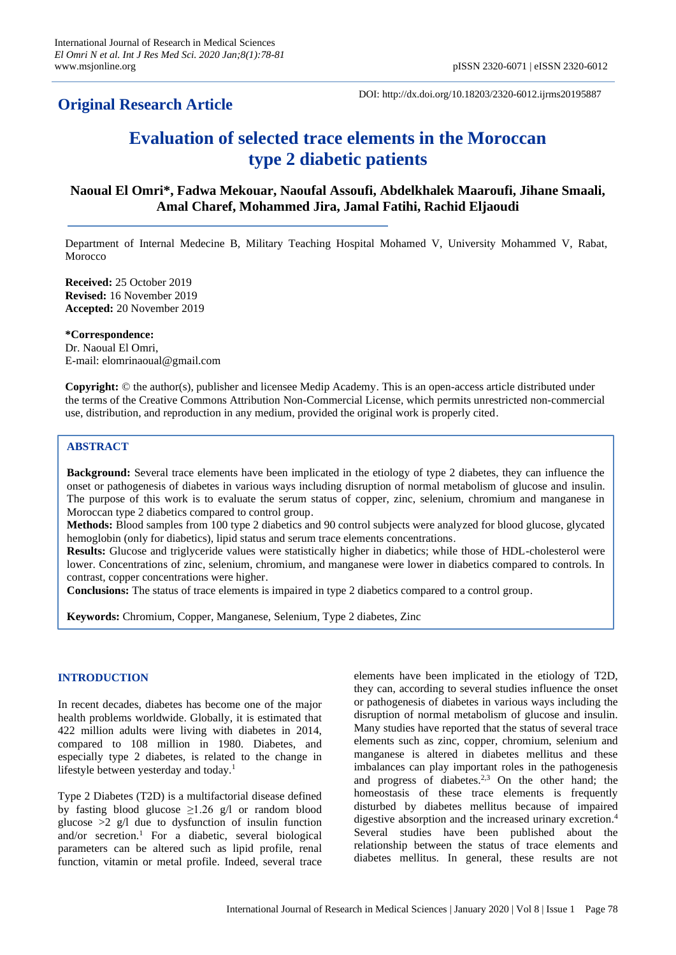## **Original Research Article**

DOI: http://dx.doi.org/10.18203/2320-6012.ijrms20195887

# **Evaluation of selected trace elements in the Moroccan type 2 diabetic patients**

## **Naoual El Omri\*, Fadwa Mekouar, Naoufal Assoufi, Abdelkhalek Maaroufi, Jihane Smaali, Amal Charef, Mohammed Jira, Jamal Fatihi, Rachid Eljaoudi**

Department of Internal Medecine B, Military Teaching Hospital Mohamed V, University Mohammed V, Rabat, Morocco

**Received:** 25 October 2019 **Revised:** 16 November 2019 **Accepted:** 20 November 2019

**\*Correspondence:** Dr. Naoual El Omri, E-mail: elomrinaoual@gmail.com

**Copyright:** © the author(s), publisher and licensee Medip Academy. This is an open-access article distributed under the terms of the Creative Commons Attribution Non-Commercial License, which permits unrestricted non-commercial use, distribution, and reproduction in any medium, provided the original work is properly cited.

## **ABSTRACT**

**Background:** Several trace elements have been implicated in the etiology of type 2 diabetes, they can influence the onset or pathogenesis of diabetes in various ways including disruption of normal metabolism of glucose and insulin. The purpose of this work is to evaluate the serum status of copper, zinc, selenium, chromium and manganese in Moroccan type 2 diabetics compared to control group.

**Methods:** Blood samples from 100 type 2 diabetics and 90 control subjects were analyzed for blood glucose, glycated hemoglobin (only for diabetics), lipid status and serum trace elements concentrations.

**Results:** Glucose and triglyceride values were statistically higher in diabetics; while those of HDL-cholesterol were lower. Concentrations of zinc, selenium, chromium, and manganese were lower in diabetics compared to controls. In contrast, copper concentrations were higher.

**Conclusions:** The status of trace elements is impaired in type 2 diabetics compared to a control group.

**Keywords:** Chromium, Copper, Manganese, Selenium, Type 2 diabetes, Zinc

## **INTRODUCTION**

In recent decades, diabetes has become one of the major health problems worldwide. Globally, it is estimated that 422 million adults were living with diabetes in 2014, compared to 108 million in 1980. Diabetes, and especially type 2 diabetes, is related to the change in lifestyle between yesterday and today.<sup>1</sup>

Type 2 Diabetes (T2D) is a multifactorial disease defined by fasting blood glucose  $\geq$ 1.26 g/l or random blood glucose  $>2$  g/l due to dysfunction of insulin function and/or secretion.<sup>1</sup> For a diabetic, several biological parameters can be altered such as lipid profile, renal function, vitamin or metal profile. Indeed, several trace elements have been implicated in the etiology of T2D, they can, according to several studies influence the onset or pathogenesis of diabetes in various ways including the disruption of normal metabolism of glucose and insulin. Many studies have reported that the status of several trace elements such as zinc, copper, chromium, selenium and manganese is altered in diabetes mellitus and these imbalances can play important roles in the pathogenesis and progress of diabetes.<sup>2,3</sup> On the other hand; the homeostasis of these trace elements is frequently disturbed by diabetes mellitus because of impaired digestive absorption and the increased urinary excretion.<sup>4</sup> Several studies have been published about the relationship between the status of trace elements and diabetes mellitus. In general, these results are not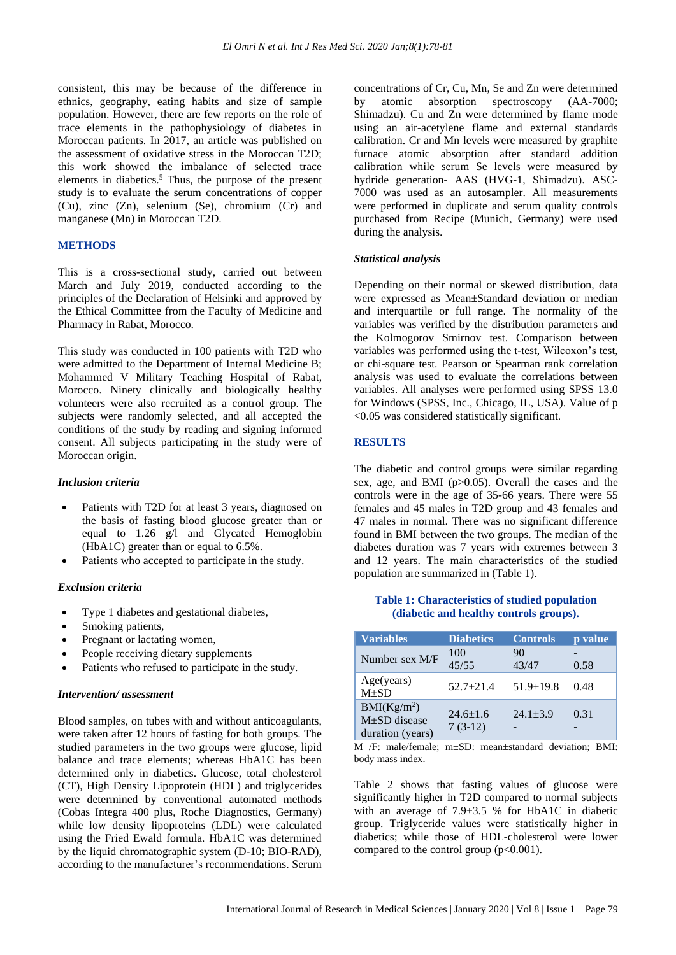consistent, this may be because of the difference in ethnics, geography, eating habits and size of sample population. However, there are few reports on the role of trace elements in the pathophysiology of diabetes in Moroccan patients. In 2017, an article was published on the assessment of oxidative stress in the Moroccan T2D; this work showed the imbalance of selected trace elements in diabetics.<sup>5</sup> Thus, the purpose of the present study is to evaluate the serum concentrations of copper (Cu), zinc (Zn), selenium (Se), chromium (Cr) and manganese (Mn) in Moroccan T2D.

### **METHODS**

This is a cross-sectional study, carried out between March and July 2019, conducted according to the principles of the Declaration of Helsinki and approved by the Ethical Committee from the Faculty of Medicine and Pharmacy in Rabat, Morocco.

This study was conducted in 100 patients with T2D who were admitted to the Department of Internal Medicine B; Mohammed V Military Teaching Hospital of Rabat, Morocco. Ninety clinically and biologically healthy volunteers were also recruited as a control group. The subjects were randomly selected, and all accepted the conditions of the study by reading and signing informed consent. All subjects participating in the study were of Moroccan origin.

#### *Inclusion criteria*

- Patients with T2D for at least 3 years, diagnosed on the basis of fasting blood glucose greater than or equal to 1.26 g/l and Glycated Hemoglobin (HbA1C) greater than or equal to 6.5%.
- Patients who accepted to participate in the study.

#### *Exclusion criteria*

- Type 1 diabetes and gestational diabetes,
- Smoking patients,
- Pregnant or lactating women,
- People receiving dietary supplements
- Patients who refused to participate in the study.

#### *Intervention/ assessment*

Blood samples, on tubes with and without anticoagulants, were taken after 12 hours of fasting for both groups. The studied parameters in the two groups were glucose, lipid balance and trace elements; whereas HbA1C has been determined only in diabetics. Glucose, total cholesterol (CT), High Density Lipoprotein (HDL) and triglycerides were determined by conventional automated methods (Cobas Integra 400 plus, Roche Diagnostics, Germany) while low density lipoproteins (LDL) were calculated using the Fried Ewald formula. HbA1C was determined by the liquid chromatographic system (D-10; BIO-RAD), according to the manufacturer's recommendations. Serum concentrations of Cr, Cu, Mn, Se and Zn were determined by atomic absorption spectroscopy (AA-7000; Shimadzu). Cu and Zn were determined by flame mode using an air-acetylene flame and external standards calibration. Cr and Mn levels were measured by graphite furnace atomic absorption after standard addition calibration while serum Se levels were measured by hydride generation- AAS (HVG-1, Shimadzu). ASC-7000 was used as an autosampler. All measurements were performed in duplicate and serum quality controls purchased from Recipe (Munich, Germany) were used during the analysis.

#### *Statistical analysis*

Depending on their normal or skewed distribution, data were expressed as Mean±Standard deviation or median and interquartile or full range. The normality of the variables was verified by the distribution parameters and the Kolmogorov Smirnov test. Comparison between variables was performed using the t-test, Wilcoxon's test, or chi-square test. Pearson or Spearman rank correlation analysis was used to evaluate the correlations between variables. All analyses were performed using SPSS 13.0 for Windows (SPSS, Inc., Chicago, IL, USA). Value of p <0.05 was considered statistically significant.

## **RESULTS**

The diabetic and control groups were similar regarding sex, age, and BMI (p>0.05). Overall the cases and the controls were in the age of 35-66 years. There were 55 females and 45 males in T2D group and 43 females and 47 males in normal. There was no significant difference found in BMI between the two groups. The median of the diabetes duration was 7 years with extremes between 3 and 12 years. The main characteristics of the studied population are summarized in (Table 1).

#### **Table 1: Characteristics of studied population (diabetic and healthy controls groups).**

| <b>Variables</b>                                                 | <b>Diabetics</b>            | <b>Controls</b> | p value |
|------------------------------------------------------------------|-----------------------------|-----------------|---------|
| Number sex M/F                                                   | 100<br>45/55                | 90<br>43/47     | 0.58    |
| Age(years)<br>$M+SD$                                             | $52.7+21.4$                 | $51.9 \pm 19.8$ | 0.48    |
| BMI(Kg/m <sup>2</sup> )<br>$M\pm SD$ disease<br>duration (years) | $24.6 \pm 1.6$<br>$7(3-12)$ | $24.1 + 3.9$    | 0.31    |

M /F: male/female; m±SD: mean±standard deviation; BMI: body mass index.

Table 2 shows that fasting values of glucose were significantly higher in T2D compared to normal subjects with an average of 7.9 $\pm$ 3.5 % for HbA1C in diabetic group. Triglyceride values were statistically higher in diabetics; while those of HDL-cholesterol were lower compared to the control group  $(p<0.001)$ .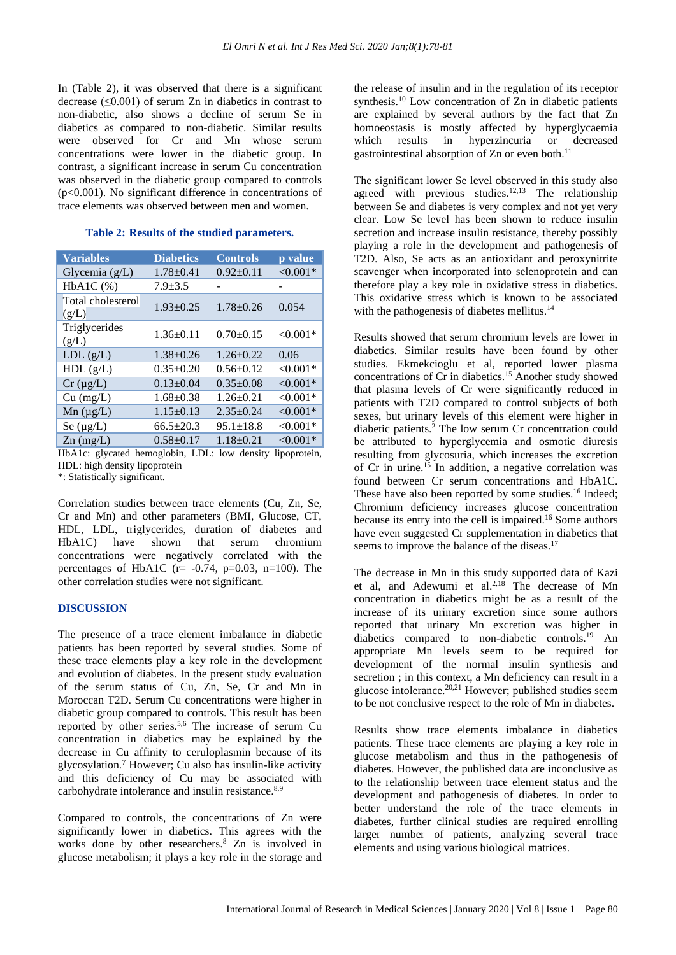In (Table 2), it was observed that there is a significant decrease  $(\leq 0.001)$  of serum Zn in diabetics in contrast to non-diabetic, also shows a decline of serum Se in diabetics as compared to non-diabetic. Similar results were observed for Cr and Mn whose serum concentrations were lower in the diabetic group. In contrast, a significant increase in serum Cu concentration was observed in the diabetic group compared to controls (p<0.001). No significant difference in concentrations of trace elements was observed between men and women.

#### **Table 2: Results of the studied parameters.**

| <b>Variables</b>           | <b>Diabetics</b> | <b>Controls</b> | p value    |
|----------------------------|------------------|-----------------|------------|
| Glycemia $(g/L)$           | $1.78 \pm 0.41$  | $0.92 \pm 0.11$ | $< 0.001*$ |
| $HbA1C$ $(\%)$             | $7.9 + 3.5$      |                 |            |
| Total cholesterol<br>(g/L) | $1.93 \pm 0.25$  | $1.78 \pm 0.26$ | 0.054      |
| Triglycerides<br>(g/L)     | $1.36 \pm 0.11$  | $0.70+0.15$     | $< 0.001*$ |
| LDL(g/L)                   | $1.38 \pm 0.26$  | $1.26 \pm 0.22$ | 0.06       |
| HDL(g/L)                   | $0.35 \pm 0.20$  | $0.56 \pm 0.12$ | $< 0.001*$ |
| $Cr (\mu g/L)$             | $0.13 \pm 0.04$  | $0.35 \pm 0.08$ | $< 0.001*$ |
| $Cu$ (mg/L)                | $1.68 \pm 0.38$  | $1.26 \pm 0.21$ | $< 0.001*$ |
| $Mn (\mu g/L)$             | $1.15 \pm 0.13$  | $2.35 \pm 0.24$ | $< 0.001*$ |
| Se $(\mu g/L)$             | $66.5 \pm 20.3$  | $95.1 \pm 18.8$ | $< 0.001*$ |
| $Zn$ (mg/L)                | $0.58 + 0.17$    | $1.18 \pm 0.21$ | $< 0.001*$ |

HbA1c: glycated hemoglobin, LDL: low density lipoprotein, HDL: high density lipoprotein

\*: Statistically significant.

Correlation studies between trace elements (Cu, Zn, Se, Cr and Mn) and other parameters (BMI, Glucose, CT, HDL, LDL, triglycerides, duration of diabetes and<br>HbA1C) have shown that serum chromium  $HbA1C$  have shown that serum concentrations were negatively correlated with the percentages of HbA1C ( $r = -0.74$ ,  $p=0.03$ ,  $n=100$ ). The other correlation studies were not significant.

## **DISCUSSION**

The presence of a trace element imbalance in diabetic patients has been reported by several studies. Some of these trace elements play a key role in the development and evolution of diabetes. In the present study evaluation of the serum status of Cu, Zn, Se, Cr and Mn in Moroccan T2D. Serum Cu concentrations were higher in diabetic group compared to controls. This result has been reported by other series.<sup>5,6</sup> The increase of serum Cu concentration in diabetics may be explained by the decrease in Cu affinity to ceruloplasmin because of its glycosylation.<sup>7</sup> However; Cu also has insulin-like activity and this deficiency of Cu may be associated with carbohydrate intolerance and insulin resistance.<sup>8,9</sup>

Compared to controls, the concentrations of Zn were significantly lower in diabetics. This agrees with the works done by other researchers.<sup>8</sup> Zn is involved in glucose metabolism; it plays a key role in the storage and the release of insulin and in the regulation of its receptor synthesis.<sup>10</sup> Low concentration of Zn in diabetic patients are explained by several authors by the fact that Zn homoeostasis is mostly affected by hyperglycaemia which results in hyperzincuria or decreased gastrointestinal absorption of Zn or even both.<sup>11</sup>

The significant lower Se level observed in this study also agreed with previous studies.<sup>12,13</sup> The relationship between Se and diabetes is very complex and not yet very clear. Low Se level has been shown to reduce insulin secretion and increase insulin resistance, thereby possibly playing a role in the development and pathogenesis of T2D. Also, Se acts as an antioxidant and peroxynitrite scavenger when incorporated into selenoprotein and can therefore play a key role in oxidative stress in diabetics. This oxidative stress which is known to be associated with the pathogenesis of diabetes mellitus.<sup>14</sup>

Results showed that serum chromium levels are lower in diabetics. Similar results have been found by other studies. Ekmekcioglu et al, reported lower plasma concentrations of Cr in diabetics.<sup>15</sup> Another study showed that plasma levels of Cr were significantly reduced in patients with T2D compared to control subjects of both sexes, but urinary levels of this element were higher in diabetic patients.<sup>2</sup> The low serum Cr concentration could be attributed to hyperglycemia and osmotic diuresis resulting from glycosuria, which increases the excretion of Cr in urine.<sup>15</sup> In addition, a negative correlation was found between Cr serum concentrations and HbA1C. These have also been reported by some studies.<sup>16</sup> Indeed: Chromium deficiency increases glucose concentration because its entry into the cell is impaired.<sup>16</sup> Some authors have even suggested Cr supplementation in diabetics that seems to improve the balance of the diseas.<sup>17</sup>

The decrease in Mn in this study supported data of Kazi et al, and Adewumi et al. $2.18$  The decrease of Mn concentration in diabetics might be as a result of the increase of its urinary excretion since some authors reported that urinary Mn excretion was higher in diabetics compared to non-diabetic controls.<sup>19</sup> An appropriate Mn levels seem to be required for development of the normal insulin synthesis and secretion ; in this context, a Mn deficiency can result in a glucose intolerance.20,21 However; published studies seem to be not conclusive respect to the role of Mn in diabetes.

Results show trace elements imbalance in diabetics patients. These trace elements are playing a key role in glucose metabolism and thus in the pathogenesis of diabetes. However, the published data are inconclusive as to the relationship between trace element status and the development and pathogenesis of diabetes. In order to better understand the role of the trace elements in diabetes, further clinical studies are required enrolling larger number of patients, analyzing several trace elements and using various biological matrices.